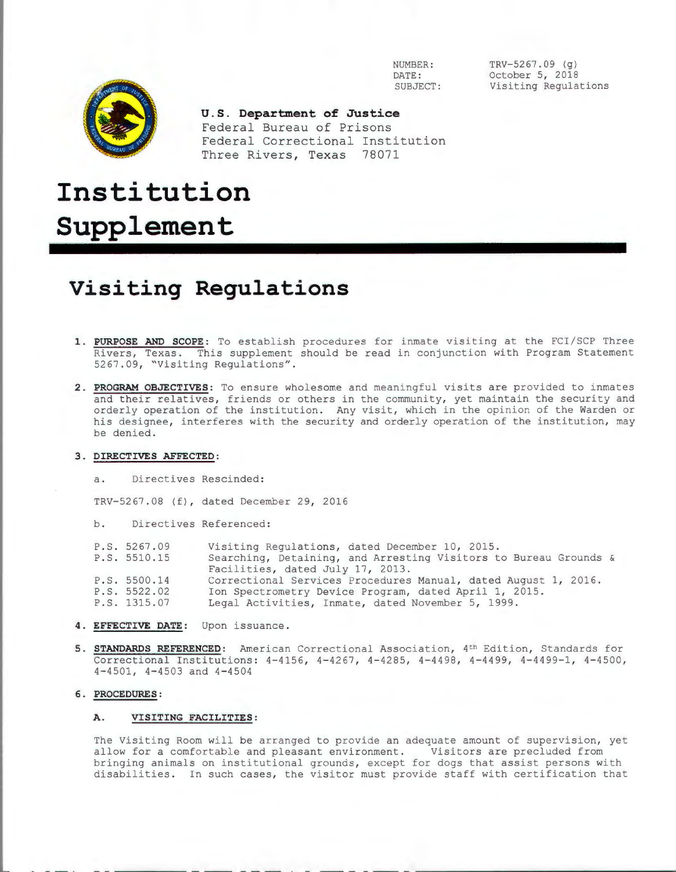

 $TRY-5267.09$  (q) October 5, 2018 Visiting Regulations



**U.S. Department of Justice**  Federal Bureau of Prisons Federal Correctional Institution Three Rivers, Texas 78071

# **Institution Supplement**

# **Visiting Regulations**

- **1. PURPOSE AND SCOPE:** To establish procedures for inmate visiting at the FCI/SCP Three Rivers, Texas. This supplement should be read in conjunction with Program Statement 5267.09, "Visiting Regulations".
- **<sup>2</sup> . PROGRAM OBJECTIVES:** To ensure wholesome and meaningful visits are provided to inmates and their relatives, friends or others in the community, yet maintain the security and orderly operation of the institution. Any visit, which in the opinion of the Warden or his designee, interferes with the security and orderly operation of the institution, may be denied.

#### **3 . DIRECTIVES AFFECTED:**

a. Directives Rescinded:

TRV-5267.08 (f), dated December 29, 2016

b. Directives Referenced:

| P.S. 5267.09 | Visiting Regulations, dated December 10, 2015.                   |
|--------------|------------------------------------------------------------------|
| P.S. 5510.15 | Searching, Detaining, and Arresting Visitors to Bureau Grounds & |
|              | Facilities, dated July 17, 2013.                                 |
| P.S. 5500.14 | Correctional Services Procedures Manual, dated August 1, 2016.   |
| P.S. 5522.02 | Ion Spectrometry Device Program, dated April 1, 2015.            |
| P.S. 1315.07 | Legal Activities, Inmate, dated November 5, 1999.                |

- **4 . EFFECTIVE DATE:** Upon issuance.
- 5. **STANDARDS REFERENCED:** American Correctional Association, 4<sup>th</sup> Edition, Standards for Correctional Institutions: 4-4156, 4-4267, 4-4285, 4-4498, 4-4499, 4-4499-1, 4-4500, 4-4501, 4-4503 and 4-4504

# **6. PROCEDURES:**

#### **A. VISITING FACILITIES:**

The Visiting Room will be arranged to provide an adequate amount of supervision, yet allow for a comfortable and pleasant environment. Visitors are precluded from bringing animals on institutional grounds, except for dogs that assist persons with disabilities. In such cases, the visitor must provide staff with certification that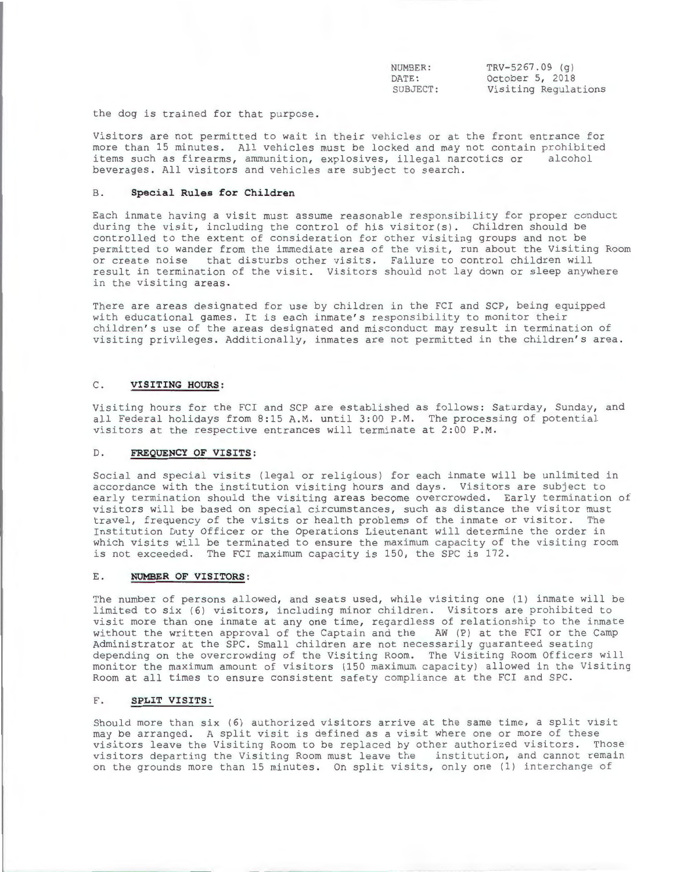NUMBER: DATE : SUBJECT: TRV-5267.09 (g) October 5, 2018 Visiting Regulations

the dog is trained for that purpose .

Visitors are not permitted to wait in their vehicles or at the front entrance for more than 15 minutes. All vehicles must be locked and may not contain prohibited<br>items such as firearms, ammunition, explosives, illegal parcotics or alcohol items such as firearms, ammunition, explosives, illegal narcotics or beverages . All visitors and vehicles are subject to search.

#### B. **Special Rules for Children**

Each inmate having a visit must assume reasonable responsibility for proper conduct during the visit, including the control of his visitor(s). Children should be controlled to the extent of consideration for other visiting groups and not be permitted to wander from the immediate area of the visit, run about the Visiting Room or create noise that disturbs other visits. Failure to control children will result in termination of the visit. Visitors should not lay down or sleep anywhere in the visiting areas.

There are areas designated for use by children in the FCI and SCP, being equipped with educational games. It is each inmate's responsibility to monitor their children's use of the areas designated and misconduct may result in termination of visiting privileges. Additionally, inmates are not permitted in the children's area.

### C. **VISITING HOURS:**

Visiting hours for the FCI and SCP are established as follows: Saturday, Sunday, and all Federal holidays from 8:15 A.M. until 3:00 P.M. The processing of potential visitors at the respective entrances will terminate at 2:00 P.M.

#### D. **FREQUENCY OF VISITS:**

Social and special visits (legal or religious) for each inmate will be unlimited in accordance with the institution visiting hours and days. Visitors are subject to early termination should the visiting areas become overcrowded. Early termination of visitors will be based on special circumstances, such as distance the visitor must travel, frequency of the visits or health problems of the inmate or visitor. The Institution Duty Officer or the Operations Lieutenant will determine the order in which visits will be terminated to ensure the maximum capacity of the visiting room is not exceeded. The FCI maximum capacity is 150, the SPC is 172.

# E. **NUMBER OF VISITORS:**

The number of persons allowed, and seats used, while visiting one (1) inmate will be limited to six (6) visitors, including minor children. Visitors are prohibited to visit more than one inmate at any one time, regardless of relationship to the inmate without the written approval of the Captain and the AW (P) at the FCI or the Camp Administrator at the SPC . Small children are not necessarily guaranteed seating depending on the overcrowding of the Visiting Room. The Visiting Room Officers will monitor the maximum amount of visitors (150 maximum capacity) allowed in the Visiting Room at all times to ensure consistent safety compliance at the FCI and SPC.

#### F. **SPLIT VISITS:**

Should more than six (6) authorized visitors arrive at the same time, a split visit may be arranged. A split visit is defined as a visit where one or more of these visitors leave the Visiting Room to be replaced by other authorized visitors. Those visitors departing the Visiting Room must leave the institution, and cannot remain on the grounds more than 15 minutes. On split visits, only one (1) interchange of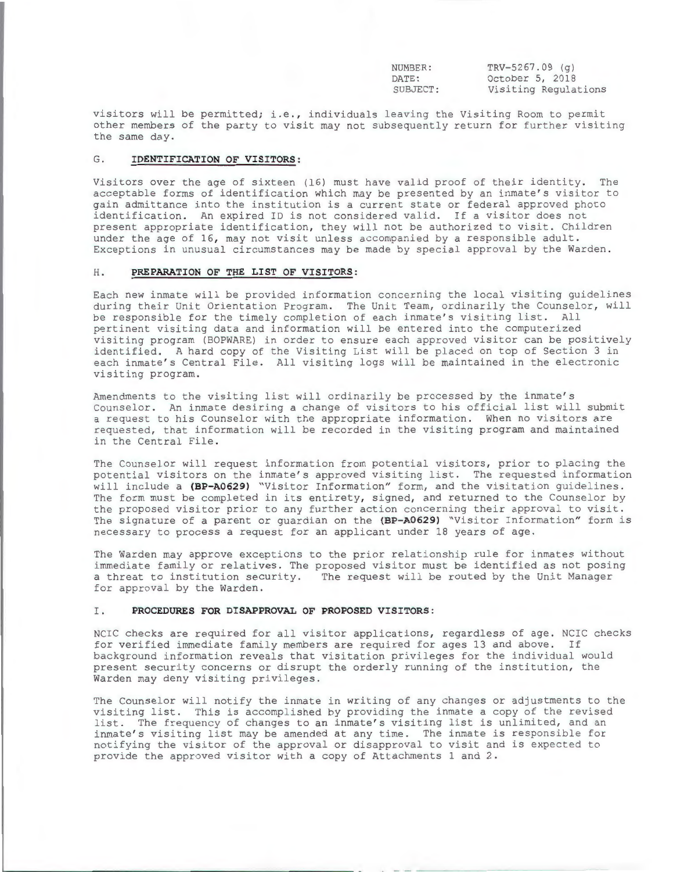NUMBER: DATE : SUBJECT: TRV- 5267.09 (g) October 5, 2018 Visiting Regulations

visitors will be permitted; i.e., individuals leaving the Visiting Room to permit other members of the party to visit may not subsequently return for further visiting the same day.

# G. **IDENTIFICATION OF VISITORS:**

Visitors over the age of sixteen (16) must have valid proof of their identity. The acceptable forms of identification which may be presented by an inmate's visitor to gain admittance into the institution is a current state or federal approved photo identification. An expired ID is not considered valid. If a visitor does not present appropriate identification, they will not be authorized to visit. Children under the age of 16, may not visit unless accompanied by a responsible adult. Exceptions in unusual circumstances may be made by special approval by the Warden .

# H. **PREPARATION OF THE LIST OF VISITORS:**

Each new inmate will be provided information concerning the local visiting guidelines during their Unit Orientation Program. The Unit Team, ordinarily the Counselor, will be responsible for the timely completion of each inmate's visiting list. All pertinent visiting data and information will be entered into the computerized visiting program (BOPWARE) in order to ensure each approved visitor can be positively identified. A hard copy of the Visiting List will be placed on top of Section 3 in each inmate's Central File. All visiting logs will be maintained in the electronic visiting program.

Amendments to the visiting list will ordinarily be processed by the inmate's Counselor. An inmate desiring a change of visitors to his official list will submit a request to his Counselor with the appropriate information. When no visitors are requested, that information will be recorded in the visiting program and maintained in the Central File.

The Counselor will request information from potential visitors, prior to placing the potential visitors on the inmate's approved visiting list. The requested information will include a (BP-A0629) "Visitor Information" form, and the visitation guidelines. The form must be completed in its entirety, signed, and returned to the Counselor by the proposed visitor prior to any further action concerning their approval to visit . The signature of a parent or guardian on the **(BP-A0629)** " Visitor Information" form is necessary to process a request for an applicant under 18 years of age .

The Warden may approve exceptions to the prior relationship rule for inmates without immediate family or relatives. The proposed visitor must be identified as not posing a threat to institution security. The request will be routed by the Unit Manager for approval by the Warden .

#### I. **PROCEDURES FOR DISAPPROVAL OF PROPOSED VISITORS :**

NCIC checks are required for all visitor applications, regardless of age. NCIC checks for verified immediate family members are required for ages 13 and above. If background information reveals that visitation privileges for the individual would present security concerns or disrupt the orderly running of the institution, the Warden may deny visiting privileges .

The Counselor will notify the inmate in writing of any changes or adjustments to the visiting list. This is accomplished by providing the inmate a copy of the revised list. The frequency of changes to an inmate's visiting list is unlimited, and an inmate's visiting list may be amended at any time. The inmate is responsible for notifying the visitor of the approval or disapproval to visit and is expected to provide the approved visitor with a copy of Attachments 1 and 2 .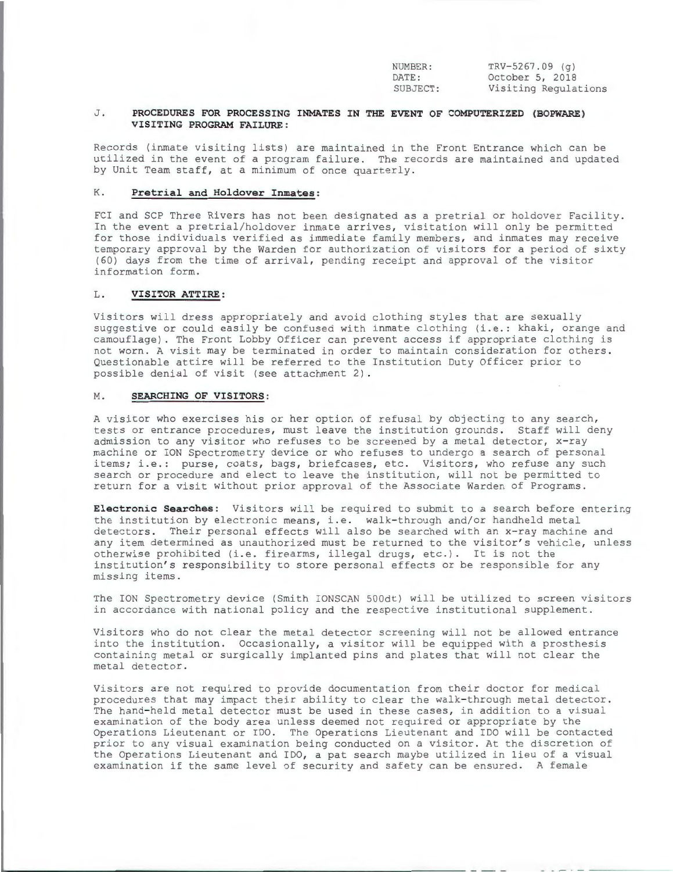NUMBER: DATE : SUBJECT:

TRV- 5267 . 09 (g) October 5, 2018 Visiting Regulations

- - - . - - - ------

### J . **PROCEDURES FOR PROCESSING INMATES IN THE EVENT OF COMPUTERIZED (BOPWARE) VISITING PROGRAM FAILURE:**

Records (inmate visiting lists) are maintained in the Front Entrance which can be utilized in the event of a program failure. The records are maintained and updated by Unit Team staff, at a minimum of once quarterly.

### K. **Pretrial and Holdover Inmates:**

FCI and SCP Three Rivers has not been designated as a pretrial or holdover Facility . In the event a pretrial/holdover inmate arrives, visitation will only be permitted for those individuals verified as immediate family members, and inmates may receive temporary approval by the Warden for authorization of visitors for a period of sixty ( 60) days from the time of arrival , pending receipt and approval of the visitor information form.

### L . **VISITOR ATTIRE:**

Visitors will dress appropriately and avoid clothing styles that are sexually suggestive or could easily be confused with inmate clothing (i.e.: khaki, orange and camouflage) . The Front Lobby Officer can prevent access if appropriate clothing is not worn . A visit may be terminated in order to maintain consideration for others . Questionable attire will be referred to the Institution Duty Officer prior to possible denial of visit (see attachment 2) .

#### M. **SEARCHING OF VISITORS:**

A visitor who exercises his or her option of refusal by objecting to any search, tests or entrance procedures, must leave the institution grounds. Staff will deny admission to any visitor who refuses to be screened by a metal detector, x-ray machine or ION Spectrometry device or who refuses to undergo a search of personal items; i.e.: purse, coats, bags, briefcases, etc. Visitors, who refuse any such search or procedure and elect to leave the institution, will not be permitted to return for a visit without prior approval of the Associate Warden of Programs.

**Electronic Searches:** Visitors will be required to submit to a search before entering the institution by electronic means, i.e. walk-through and/or handheld metal detectors. Their personal effects will also be searched with an x-ray machine and any item determined as unauthorized must be returned to the visitor's vehicle, unless otherwise prohibited (i.e. firearms, illegal drugs, etc.). It is not the institution's responsibility to store personal effects or be responsible for any missing items.

The ION Spectrometry device (Smith IONSCAN 500dt) will be utilized to screen visitors in accordance with national policy and the respective institutional supplement.

Visitors who do not clear the metal detector screening will not be allowed entrance into the institution. Occasionally, a visitor will be equipped with a prosthesis containing metal or surgically implanted pins and plates that will not clear the metal detector .

Visitors are not required to provide documentation from their doctor for medical procedures that may impact their ability to clear the walk-through metal detector. The hand-held metal detector must be used in these cases, in addition to a visual examination of the body area unless deemed not required or appropriate by the Operations Lieutenant or IDO. The Operations Lieutenant and IDO will be contacted prior to any visual examination being conducted on a visitor . At the discretion of the Operations Lieutenant and IDO, a pat search maybe utilized in lieu of a visual examination if the same level of security and safety can be ensured. A female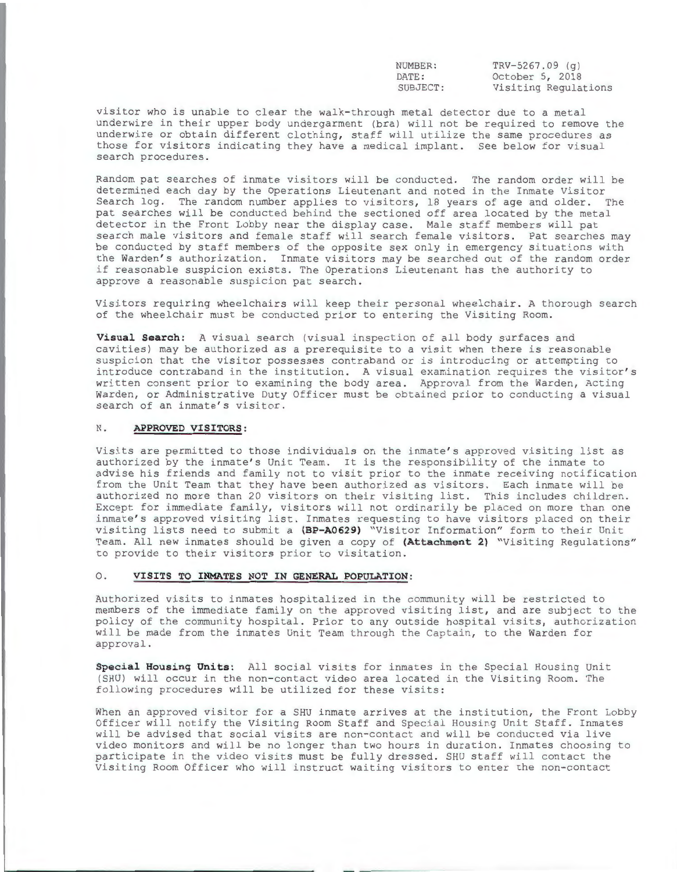| NUMBER:  |  |
|----------|--|
| DATE:    |  |
| SUBJECT: |  |

 $TRY-5267.09$  (g) October 5, 2018 Visiting Regulations

visitor who is unable to clear the walk- through metal detector due to a metal underwire in their upper body undergarment (bra) will not be required to remove the underwire or obtain different clothing, staff will utilize the same procedures as those for visitors indicating they have a medical implant. See below for visual search procedures .

Random pat searches of inmate visitors will be conducted. The random order will be determined each day by the Operations Lieutenant and noted in the Inmate Visitor Search log. The random number applies to visitors, 18 years of age and older. The pat searches will be conducted behind the sectioned off area located by the metal detector in the Front Lobby near the display case. Male staff members will pat search male visitors and female staff will search female visitors. Pat searches may be conducted by staff members of the opposite sex only in emergency situations with the Warden's authorization. Inmate visitors may be searched out of the random order if reasonable suspicion exists. The Operations Lieutenant has the authority to approve a reasonable suspicion pat search .

Visitors requiring wheelchairs will keep their personal wheelchair . A thorough search of the wheelchair must be conducted prior to entering the Visiting Room .

**Visual Search:** A visual search (visual inspection of all body surfaces and cavities) may be authorized as a prerequisite to a visit when there is reasonable suspicion that the visitor possesses contraband or is introducing or attempting to introduce contraband in the institution. A visual examination requires the visitor's written consent prior to examining the body area. Approval from the Warden, Acting Warden, or Administrative Duty Officer must be obtained prior to conducting a visual search of an inmate's visitor.

#### N. **APPROVED VISITORS:**

Visits are permitted to those individuals on the inmate's approved visiting list as authorized by the inmate's Unit Team. It is the responsibility of the inmate to advise his friends and family not to visit prior to the inmate receiving notification from the Unit Team that they have been authorized as visitors. Each inmate will be authorized no more than 20 visitors on their visiting list. This includes children. Except for immediate family, visitors will not ordinarily be placed on more than one inmate's approved visiting list. Inmates requesting to have visitors placed on their visiting lists need to submit a (BP-A0629) "Visitor Information" form to their Unit Team . All new inmates should be given a copy of **(Attachment** 2) "Visiting Regulations" to provide to their visitors prior to visitation.

#### 0 . **VISITS TO INMATES NOT IN GENERAL POPULATION :**

Authorized visits to inmates hospitalized in the community will be restricted to members of the immediate family on the approved visiting list, and are subject to the policy of the community hospital. Prior to any outside hospital visits, authorization will be made from the inmates Unit Team through the Captain, to the Warden for approval .

**Special Housing Units:** All social visits for inmates in the Special Housing Unit (SHU) will occur in the non-contact video area located in the Visiting Room. The following procedures will be utilized for these visits:

When an approved visitor for a SHU inmate arrives at the institution, the Front Lobby Officer will notify the Visiting Room Staff and Special Housing Unit Staff . Inmates will be advised that social visits are non- contact and will be conducted via live video monitors and will be no longer than two hours in duration. Inmates choosing to participate in the video visits must be fully dressed. SHU staff will contact the Visiting Room Officer who will instruct waiting visitors to enter the non-contact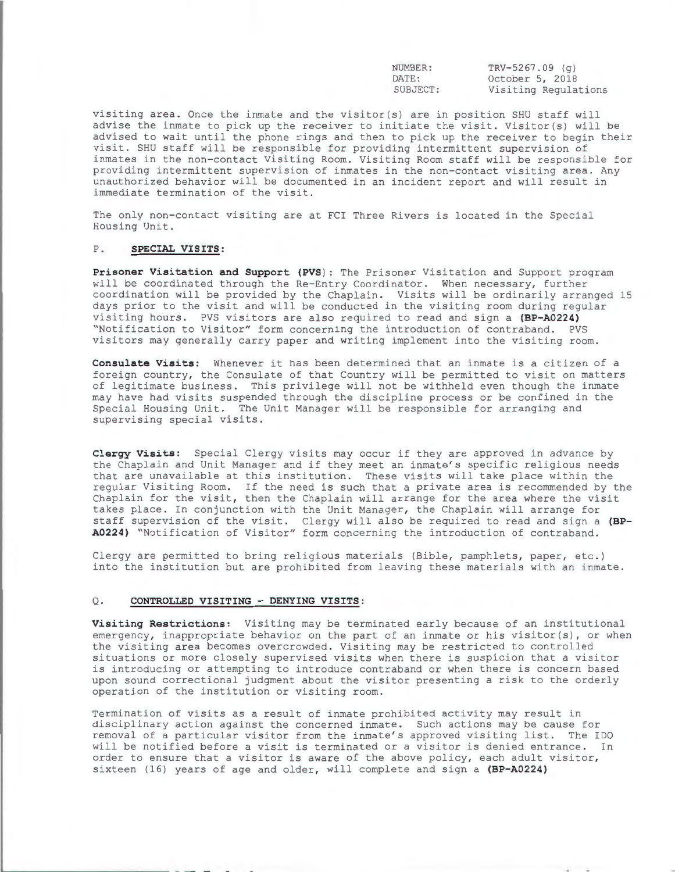NUMBER: DATE : SUBJECT :

 $TRV - 5267.09$  (g) October 5, 2018 Visiting Regulations

visiting area. Once the inmate and the visitor(s) are in position SHU staff will advise the inmate to pick up the receiver to initiate the visit. Visitor(s) will be advised to wait until the phone rings and then to pick up the receiver to begin their visit . SHU staff will be responsible for providing intermittent supervision of inmates in the non-contact Visiting Room. Visiting Room staff will be responsible for providing intermittent supervision of inmates in the non-contact visiting area. Any unauthorized behavior will be documented in an incident report and will result in immediate termination of the visit.

The only non-contact visiting are at FCI Three Rivers is located in the Special Housing Unit .

# P. **SPECIAL VISITS:**

**Prisoner Visitation and Support (PVS ) :** The Prisoner Visitation and Support program will be coordinated through the Re-Entry Coordinator. When necessary, further coordination will be provided by the Chaplain. Visits will be ordinarily arranged 15 days prior to the visit and will be conducted in the visiting room during regular visiting hours . PVS visitors are also required to read and sign a **(BP-A0224)**  "Notification to Visitor" form concerning the introduction of contraband. PVS visitors may generally carry paper and writing implement into the visiting room .

**Consulate Visits:** Whenever it has been determined that an inmate is a citizen of a foreign country, the Consulate of that Country will be permitted to visit on matters of legitimate business. This privilege will not be withheld even though the inmate may have had visits suspended through the discipline process or be confined in the Special Housing Unit . The Unit Manager will be responsible for arranging and supervising special visits .

**Clergy Visits:** Special Clergy visits may occur if they are approved in advance by the Chaplain and Unit Manager and if they meet an inmate's specific religious needs that are unavailable at this institution. These visits will take place within the regular Visiting Room . If the need is such that a private area is recommended by the Chaplain for the visit, then the Chaplain will arrange for the area where the visit takes place. In conjunction with the Unit Manager, the Chaplain will arrange for staff supervision of the visit. Clergy will also be required to read and sign a (BP-A0224) "Notification of Visitor" form concerning the introduction of contraband.

Clergy are permitted to bring religious materials (Bible, pamphlets, paper, etc.) into the institution but are prohibited from leaving these materials with an inmate.

### Q. **CONTROLLED VISITING - DENYING VISITS :**

Visiting Restrictions: Visiting may be terminated early because of an institutional emergency, inappropriate behavior on the part of an inmate or his visitor(s), or when the visiting area becomes overcrowded. Visiting may be restricted to controlled situations or more closely supervised visits when there is suspicion that a visitor is introducing or attempting to introduce contraband or when there is concern based upon sound correctional judgment about the visitor presenting a risk to the orderly operation of the institution or visiting room .

Termination of visits as a result of inmate prohibited activity may result in disciplinary action against the concerned inmate. Such actions may be cause for removal of a particular visitor from the inmate's approved visiting list. The IDO will be notified before a visit is terminated or a visitor is denied entrance. In order to ensure that a visitor is aware of the above policy, each adult visitor, sixteen (16) years of age and older, will complete and sign a **(BP-A0224)**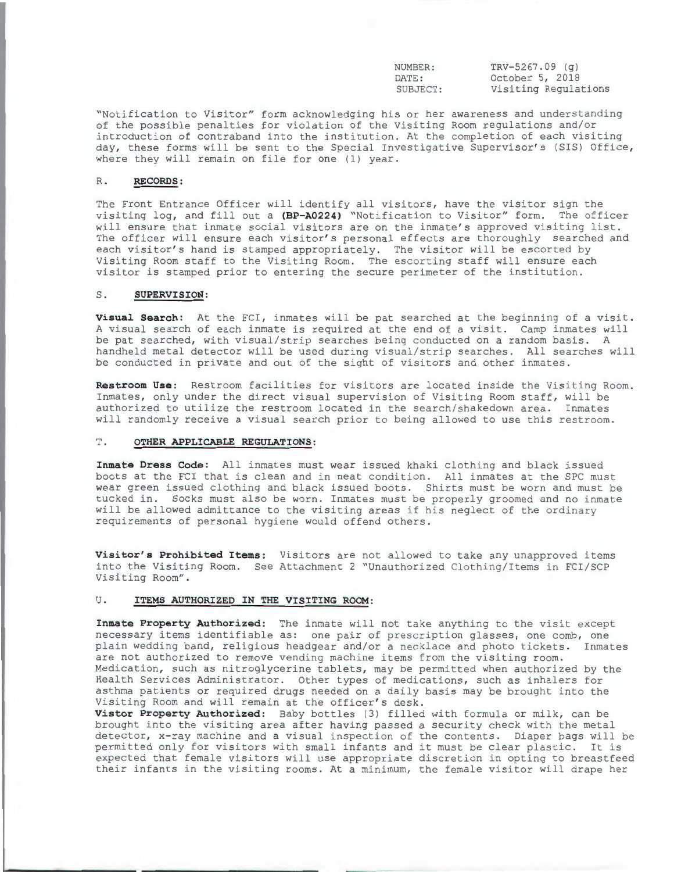NUMBER: DATE: SUBJECT :

 $TRV - 5267.09$  (g) October 5, 2018 Visiting Regulations

"Notification to Visitor" form acknowledging his or her awareness and understanding of the possible penalties for violation of the Visiting Room regulations and/or introduction of contraband into the institution. At the completion of each visiting day, these forms will be sent to the Special Investigative Supervisor's (SIS) Office, where they will remain on file for one (1) year.

# R. **RECORDS:**

The Front Entrance Officer will identify all visitors, have the visitor sign the visiting log, and fill out a **(BP-A0224)** "Notification to Visitor" form. The officer will ensure that inmate social visitors are on the inmate's approved visiting list. The officer will ensure each visitor's personal effects are thoroughly searched and each visitor's hand is stamped appropriately. The visitor will be escorted by Visiting Room staff to the Visiting Room . The escorting staff will ensure each visitor is stamped prior to entering the secure perimeter of the institution.

# S. **SUPERVISION :**

Visual Search: At the FCI, inmates will be pat searched at the beginning of a visit. A visual search of each inmate is required at the end of a visit . Camp inmates will be pat searched, with visual/strip searches being conducted on a random basis . A handheld metal detector will be used during visual/strip searches . All searches will be conducted in private and out of the sight of visitors and other inmates .

Restroom Use: Restroom facilities for visitors are located inside the Visiting Room. Inmates, only under the direct visual supervision of Visiting Room staff, will be authorized to utilize the restroom located in the search/shakedown area. Inmates will randomly receive a visual search prior to being allowed to use this restroom .

#### T . **OTHER APPLICABLE REGULATIONS:**

Inmate Dress Code: All inmates must wear issued khaki clothing and black issued boots at the FCI that is clean and in neat condition. All inmates at the SPC must wear green issued clothing and black issued boots. Shirts must be worn and must be tucked in. Socks must also be worn. Inmates must be properly groomed and no inmate will be allowed admittance to the visiting areas if his neglect of the ordinary requirements of personal hygiene would offend others.

**Visitor's Prohibited Items:** Visitors are not allowed to take any unapproved items into the Visiting Room. See Attachment 2 "Unauthorized Clothing/Items in FCI/SCP Visiting Room".

# U. **ITEMS AUTHORIZED IN THE VISITING ROOM:**

**Inmate Property Authorized:** The inmate will not take anything to the visit except necessary items identifiable as: one pair of prescription glasses, one comb, one plain wedding band, religious headgear and/or a necklace and photo tickets. Inmates are not authorized to remove vending machine items from the visiting room . Medication, such as nitroglycerine tablets, may be permitted when authorized by the Health Services Administrator. Other types of medications, such as inhalers for asthma patients or required drugs needed on a daily basis may be brought into the Visiting Room and will remain at the officer's desk.

**Vistor Property Authorized:** Baby bottles (3) filled with formula or milk, can be brought into the visiting area after having passed a security check with the metal detector, x-ray machine and a visual inspection of the contents. Diaper bags will be permitted only for visitors with small infants and it must be clear plastic . It is expected that female visitors will use appropriate discretion in opting to breastfeed their infants in the visiting rooms . At a minimum, the female visitor will drape her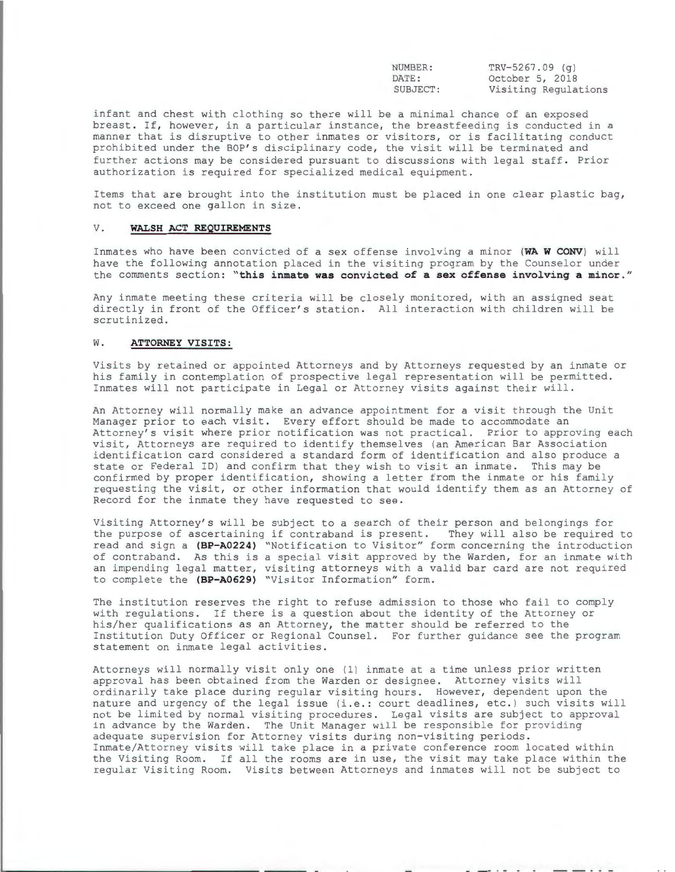| NUMBER:  |  |
|----------|--|
| DATE:    |  |
| SUBJECT: |  |

 $TRY-5267.09$  (g) October 5, 2018 Visiting Regulations

infant and chest with clothing so there will be a minimal chance of an exposed breast. If, however, in a particular instance, the breastfeeding is conducted in a manner that is disruptive to other inmates or visitors, or is facilitating conduct prohibited under the BOP's disciplinary code, the visit will be terminated and further actions may be considered pursuant to discussions with legal staff. Prior authorization is required for specialized medical equipment.

Items that are brought into the institution must be placed in one clear plastic bag, not to exceed one gallon in size .

# V. **WALSH ACT REQUIREMENTS**

Inmates who have been convicted of a sex offense involving a minor **(WA W CONV )** will have the following annotation placed in the visiting program by the Counselor under the comments section: "this inmate was convicted of a sex offense involving a minor."

Any inmate meeting these criteria will be closely monitored, with an assigned seat directly in front of the Officer's station. All interaction with children will be scrutinized.

# W. **ATTORNEY VISITS:**

Visits by retained or appointed Attorneys and by Attorneys requested by an inmate or his family in contemplation of prospective legal representation will be permitted . Inmates will not participate in Legal or Attorney visits against their will .

An Attorney will normally make an advance appointment for a visit through the Unit Manager prior to each visit. Every effort should be made to accommodate an Attorney's visit where prior notification was not practical. Prior to approving each visit, Attorneys are required to identify themselves (an American Bar Association identification card considered a standard form of identification and also produce a state or Federal ID) and confirm that they wish to visit an inmate . This may be confirmed by proper identification, showing a letter from the inmate or his family requesting the visit, or other information that would identify them as an Attorney of Record for the inmate they have requested to see .

Visiting Attorney's will be subject to a search of their person and belongings for the purpose of ascertaining if contraband is present. They will also be required to read and sign a **(BP-A0224)** "Notification to Visitor" form concerning the introduction of contraband. As this is a special visit approved by the Warden, for an inmate with an impending legal matter, visiting attorneys with a valid bar card are not required to complete the **(BP-A0629)** "Visitor Information" form .

The institution reserves the right to refuse admission to those who fail to comply with regulations. If there is a question about the identity of the Attorney or his/her qualifications as an Attorney, the matter should be referred to the Institution Duty Officer or Regional Counsel. For further guidance see the program statement on inmate legal activities .

Attorneys will normally visit only one (1) inmate at a time unless prior written approval has been obtained from the Warden or designee . Attorney visits will ordinarily take place during regular visiting hours. However, dependent upon the nature and urgency of the legal issue (i.e.: court deadlines, etc.) such visits will not be limited by normal visiting procedures. Legal visits are subject to approval in advance by the Warden. The Unit Manager will be responsible for providing adequate supervision for Attorney visits during non-visiting periods. Inmate/Attorney visits will take place in a private conference room located within the Visiting Room. If all the rooms are in use, the visit may take place within the regular Visiting Room. Visits between Attorneys and inmates will not be subject to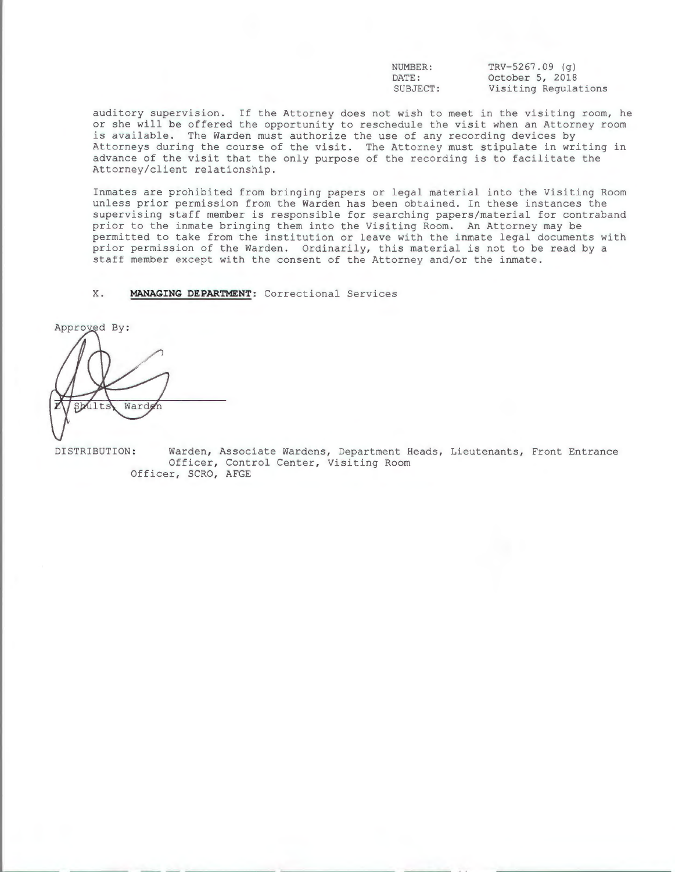NUMBER: DATE: SUBJECT :  $TRV - 5267.09$  (g) October 5, 2018 Visiting Regulations

auditory supervision. If the Attorney does not wish to meet in the visiting room, he or she will be offered the opportunity to reschedule the visit when an Attorney room is available. The Warden must authorize the use of any recording devices by Attorneys during the course of the visit. The Attorney must stipulate in writing in advance of the visit that the only purpose of the recording is to facilitate the Attorney/client relationship.

Inmates are prohibited from bringing papers or legal material into the Visiting Room unless prior permission from the Warden has been obtained. In these instances the supervising staff member is responsible for searching papers/material for contraband prior to the inmate bringing them into the Visiting Room. An Attorney may be permitted to take from the institution or leave with the inmate legal documents with prior permission of the Warden. Ordinarily, this material is not to be read by a staff member except with the consent of the Attorney and/or the inmate.

X. **MANAGING DEPARTMENT:** Correctional Services

Approved By: Warde Sbult:

DISTRIBUTION: Warden, Associate Wardens, Department Heads, Lieutenants, Front Entrance Officer, Control Center, Visiting Room Officer, SCRO, AFGE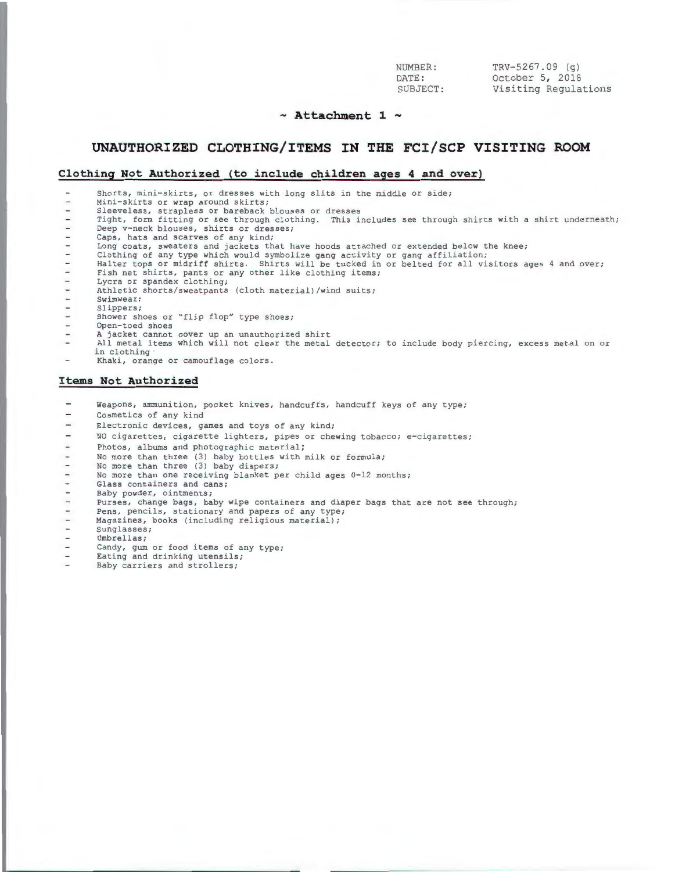| NUMBER:  | $TRY-5267.09$ (q)    |
|----------|----------------------|
| DATE:    | October 5, 2018      |
| SUBJECT: | Visiting Regulations |

### **Attachment 1** -

NU<sub>I</sub>

# **UNAUTHORIZED CLOTHING/ITEMS IN THE FCI/SCP VISITING ROOM**

#### **Clothing Not Authorized (to include children ages 4 and over)**

Shorts, mini-skirts, or dresses with long slits in the middle or side;

Mini-skirts or wrap around skirts;  $\sim$ 

- $\overline{\phantom{a}}$
- Sleeveless, strapless or bareback blouses or dresses<br>Tight, form fitting or see through clothing. This includes see through shirts with a shirt underneath; Deep v-neck blouses, shirts or dresses;  $\overline{\phantom{a}}$
- Caps, hats and scarves of any kind;  $\equiv$
- Long coats, sweaters and jackets that have hoods attached or extended below the knee;<br>Clothing of any type which would symbolize gang activity or gang affiliation;  $\sim$
- $\overline{a}$
- Halter tops or midriff shirts. Shirts will be tucked in or belted for all visitors ages 4 and over;  $\overline{\phantom{a}}$
- $\overline{a}$ Fish net shirts, pants or any other like clothing items;
- Lycra or spandex clothing;  $\overline{\phantom{a}}$
- Athletic shorts/sweatpants (cloth material) /wind suits;  $\overline{a}$
- **Swimwear;**   $\ddot{}$
- $\overline{a}$ Slippers;
- $\equiv$ Shower shoes or "flip flop" type shoes;
- $\overline{a}$ Open- toed shoes
- A jacket cannot cover up an unauthorized shirt  $\overline{a}$
- $\overline{\phantom{a}}$ All metal items which will not clear the metal detector; to include body piercing, excess metal on or in clothing
- $\overline{a}$ Khaki, orange or camouflage colors.

#### **Items Not Authorized**

- $\rightarrow$ Weapons, ammunition, pocket knives, handcuffs, handcuff keys of any type;
- $\overline{\phantom{0}}$ Cosmetics of any kind
- Electronic devices, games and toys of any kind;
- $\overline{a}$ NO cigarettes, cigarette lighters, pipes or chewing tobacco; e-cigarettes;
- Photos, albums and photographic material;  $\overline{\phantom{0}}$
- No more than three (3) baby bottles with milk or formula;
- No more than three (3) baby diapers;
- No more than one receiving blanket per child ages 0-12 months;
- $\overline{\phantom{a}}$ Glass containers and cans;
- $\overline{\phantom{0}}$ Baby powder, ointments;
- $\qquad \qquad -$ Purses, change bags, baby wipe containers and diaper bags that are not see through;
- $\overline{a}$ Pens, pencils, stationary and papers of any type;
- $\rightarrow$ Magazines, books (including religious material);
- $\overline{a}$ Sunglasses;
- Umbrellas;
- Candy, gum or food items of any type; Eating and drinking utensils;
- 
- Baby carriers and strollers;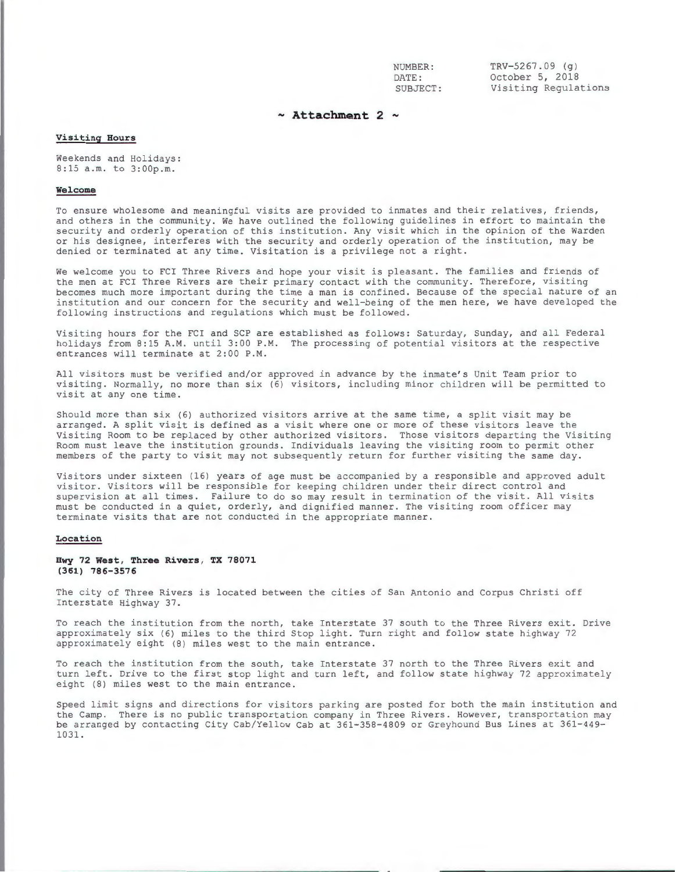NUMBER : DATE: SUBJECT:

 $TRY - 5267.09$  (g) October 5, 2018 Visiting Regulations

# **Attachment 2** -

# **Visiting Hours**

Weekends and Holidays: 8:15 a.m. to 3:00p.m.

#### **Welcome**

To ensure wholesome and meaningful visits are provided to inmates and their relatives, friends, and others in the community . We have outlined the following guidelines in effort to maintain the security and orderly operation of this institution. Any visit which in the opinion of the Warden or his designee, interferes with the security and orderly operation of the institution, may be denied or terminated at any time. Visitation is a privilege not a right.

We welcome you to FCI Three Rivers and hope your visit is pleasant. The families and friends of the men at FCI Three Rivers are their primary contact with the community. Therefore, visiting becomes much more important during the time a man is confined. Because of the special nature of an institution and our concern for the security and well-being of the men here, we have developed the following instructions and regulations which must be followed.

Visiting hours for the FCI and SCP are established as follows: Saturday, Sunday, and all Federal holidays from 8:15 A.M. until 3:00 P.M. The processing of potential visitors at the respective entrances will terminate at 2:00 P.M.

All visitors must be verified and/or approved in advance by the inmate's Unit Team prior to visiting. Normally, no more than six (6) visitors, including minor children will be permitted to visit at any one time.

Should more than six (6) authorized visitors arrive at the same time, a split visit may be arranged. A split visit is defined as a visit where one or more of these visitors leave the Visiting Room to be replaced by other authorized visitors. Those visitors departing the Visiting Room must leave the institution grounds. Individuals leaving the visiting room to permit other members of the party to visit may not subsequently return for further visiting the same day.

Visitors under sixteen (16) years of age must be accompanied by a responsible and approved adult visitor. Visitors will be responsible for keeping children under their direct control and supervision at all times. Failure to do so may result in termination of the visit. All visits must be conducted in a quiet, orderly, and dignified manner. The visiting room officer may terminate visits that are not conducted in the appropriate manner.

### **Location**

#### **Hwy 72 West, Three Rivers, TX 78071 (361) 786-3576**

The city of Three Rivers is located between the cities of San Antonio and Corpus Christi off Interstate Highway 37.

To reach the institution from the north, take Interstate 37 south to the Three Rivers exit. Drive approximately six (6) miles to the third Stop light. Turn right and follow state highway 72 approximately eight (8) miles west to the main entrance.

To reach the institution from the south, take Interstate 37 north to the Three Rivers exit and turn left. Drive to the first stop light and turn left, and follow state highway 72 approximately eight (8) miles west to the main entrance.

Speed limit signs and directions for visitors parking are posted for both the main institution and the Camp. There is no public transportation company in Three Rivers. However, transportation may be arranged by contacting City Cab/Yellow Cab at 361-358-4809 or Greyhound Bus Lines at 361-449-1031 .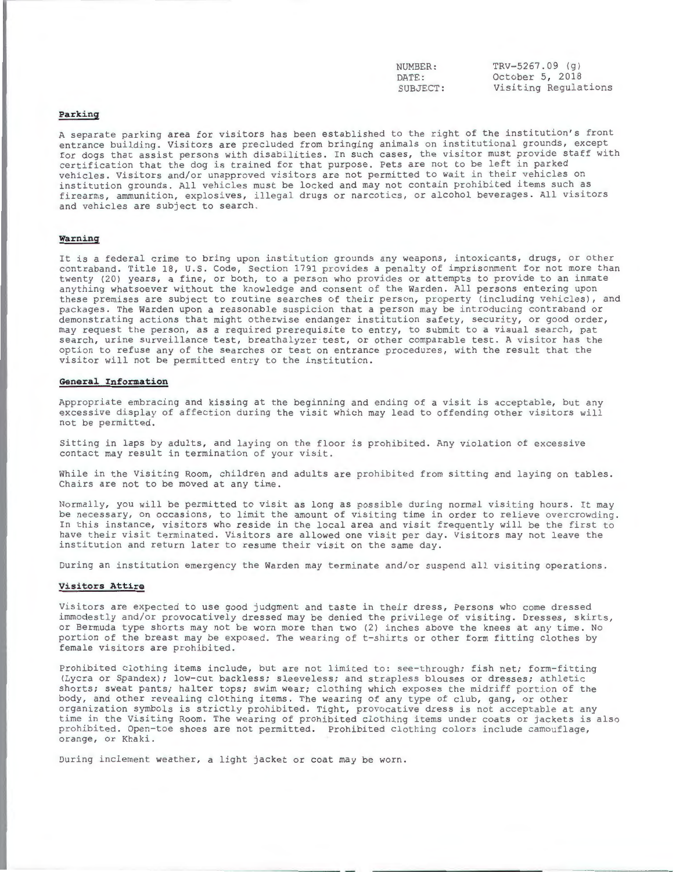NUMBER: DATE : SUBJECT :

 $TRY-5267.09$  (g) October 5, 2018 Visiting Regulations

# **Parking**

A separate parking area for visitors has been established to the right of the institution's front entrance building. Visitors are precluded from bringing animals on institutional grounds, except for dogs that assist persons with disabilities. In such cases, the visitor must provide staff with certification that the dog is trained for that purpose. Pets are not to be left in parked vehicles . Visitors and/or unapproved visitors are not permitted to wait in their vehicles on institution grounds. All vehicles must be locked and may not contain prohibited items such as firearms, ammunition, explosives, illegal drugs or narcotics, or alcohol beverages. All visitors and vehicles are subject to search.

#### **Warning**

It is a federal crime to bring upon institution grounds any weapons, intoxicants, drugs, or other contraband. Title 18, U.S. Code, Section 1791 provides a penalty of imprisonment for not more than twenty (20) years, a fine, or both, to a person who provides or attempts to provide to an inmate anything whatsoever without the knowledge and consent of the Warden. All persons entering upon these premises are subject to routine searches of their person, property (including vehicles), and packages. The Warden upon a reasonable suspicion that a person may be introducing contraband or demonstrating actions that might otherwise endanger institution safety, security, or good order, may request the person, as a required prerequisite to entry, to submit to a visual search, pat search, urine surveillance test, breathalyzer test, or other comparable test. A visitor has the option to refuse any of the searches or test on entrance procedures, with the result that the visitor will not be permitted entry to the institution.

#### **General Information**

Appropriate embracing and kissing at the beginning and ending of a visit is acceptable, but any excessive display of affection during the visit which may lead to offending other visitors will not be permitted.

Sitting in laps by adults, and laying on the floor is prohibited. Any violation of excessive contact may result in termination of your visit .

While in the Visiting Room, children and adults are prohibited from sitting and laying on tables. Chairs are not to be moved at any time .

Normally, you will be permitted to visit as long as possible during normal visiting hours. It may be necessary, on occasions, to limit the amount of visiting time in order to relieve overcrowding. In this instance, visitors who reside in the local area and visit frequently will be the first to have their visit terminated. Visitors are allowed one visit per day. Visitors may not leave the institution and return later to resume their visit on the same day .

During an institution emergency the Warden may terminate and/or suspend all visiting operations.

#### **Visitors Attire**

Visitors are expected to use good judgment and taste in their dress, Persons who come dressed immodestly and/or provocatively dressed may be denied the privilege of visiting. Dresses, skirts, or Bermuda type shorts may not be worn more than two (2) inches above the knees at any time. No portion of the breast may be exposed. The wearing of t-shirts or other form fitting clothes by female visitors are prohibited.

Prohibited clothing items include, but are not limited to: see-through; fish net; form-fitting (Lycra or Spandex); low-cut backless; sleeveless; and strapless blouses or dresses; athletic shorts; sweat pants; halter tops; swim wear; clothing which exposes the midriff portion of the body, and other revealing clothing items. The wearing of any type of club, gang, or other organization symbols is strictly prohibited. Tight, provocative dress is not acceptable at any time in the Visiting Room. The wearing of prohibited clothing items under coats or jackets is also prohibited. Open-toe shoes are not permitted. Prohibited clothing colors include camouflage, orange, or Khaki.

During inclement weather, a light jacket or coat may be worn.